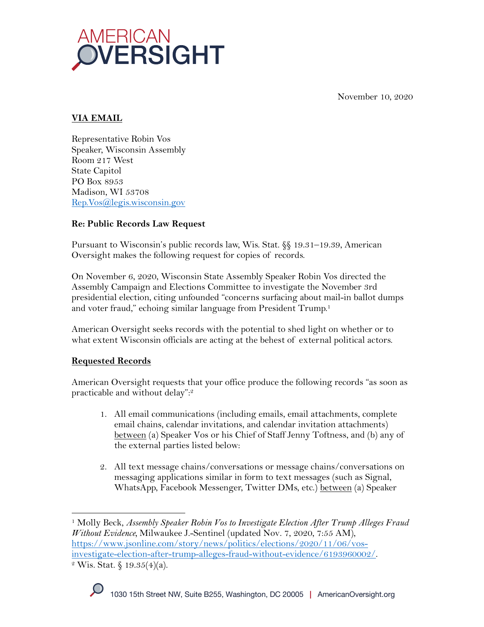

November 10, 2020

### **VIA EMAIL**

Representative Robin Vos Speaker, Wisconsin Assembly Room 217 West State Capitol PO Box 8953 Madison, WI 53708 Rep.Vos@legis.wisconsin.gov

## **Re: Public Records Law Request**

Pursuant to Wisconsin's public records law, Wis. Stat. §§ 19.31–19.39, American Oversight makes the following request for copies of records.

On November 6, 2020, Wisconsin State Assembly Speaker Robin Vos directed the Assembly Campaign and Elections Committee to investigate the November 3rd presidential election, citing unfounded "concerns surfacing about mail-in ballot dumps and voter fraud," echoing similar language from President Trump.<sup>1</sup>

American Oversight seeks records with the potential to shed light on whether or to what extent Wisconsin officials are acting at the behest of external political actors.

# **Requested Records**

American Oversight requests that your office produce the following records "as soon as practicable and without delay": 2

- 1. All email communications (including emails, email attachments, complete email chains, calendar invitations, and calendar invitation attachments) between (a) Speaker Vos or his Chief of Staff Jenny Toftness, and (b) any of the external parties listed below:
- 2. All text message chains/conversations or message chains/conversations on messaging applications similar in form to text messages (such as Signal, WhatsApp, Facebook Messenger, Twitter DMs, etc.) between (a) Speaker

<sup>1</sup> Molly Beck, *Assembly Speaker Robin Vos to Investigate Election After Trump Alleges Fraud Without Evidence,* Milwaukee J.-Sentinel (updated Nov. 7, 2020, 7:55 AM), https://www.jsonline.com/story/news/politics/elections/2020/11/06/vosinvestigate-election-after-trump-alleges-fraud-without-evidence/6193960002/.<br><sup>2</sup> Wis. Stat. § 19.35(4)(a).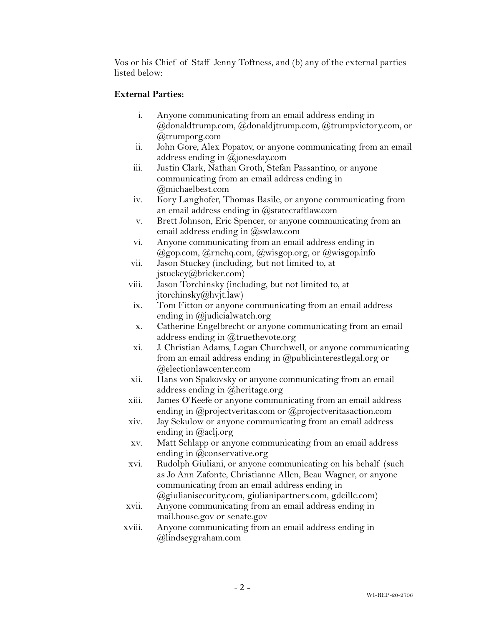Vos or his Chief of Staff Jenny Toftness, and (b) any of the external parties listed below:

# **External Parties:**

- i. Anyone communicating from an email address ending in @donaldtrump.com, @donaldjtrump.com, @trumpvictory.com, or @trumporg.com
- ii. John Gore, Alex Popatov, or anyone communicating from an email address ending in @jonesday.com
- iii. Justin Clark, Nathan Groth, Stefan Passantino, or anyone communicating from an email address ending in @michaelbest.com
- iv. Kory Langhofer, Thomas Basile, or anyone communicating from an email address ending in  $@$ statecraftlaw.com
- v. Brett Johnson, Eric Spencer, or anyone communicating from an email address ending in @swlaw.com
- vi. Anyone communicating from an email address ending in  $(a)$ gop.com,  $(a)$ rnchq.com,  $(a)$ wisgop.org, or  $(a)$ wisgop.info
- vii. Jason Stuckey (including, but not limited to, at jstuckey@bricker.com)
- viii. Jason Torchinsky (including, but not limited to, at jtorchinsky@hvjt.law)
- ix. Tom Fitton or anyone communicating from an email address ending in @judicialwatch.org
- x. Catherine Engelbrecht or anyone communicating from an email address ending in @truethevote.org
- xi. J. Christian Adams, Logan Churchwell, or anyone communicating from an email address ending in @publicinterestlegal.org or @electionlawcenter.com
- xii. Hans von Spakovsky or anyone communicating from an email address ending in @heritage.org
- xiii. James O'Keefe or anyone communicating from an email address ending in  $\omega$  projectveritas.com or  $\omega$  projectveritas action.com
- xiv. Jay Sekulow or anyone communicating from an email address ending in @aclj.org
- xv. Matt Schlapp or anyone communicating from an email address ending in @conservative.org
- xvi. Rudolph Giuliani, or anyone communicating on his behalf (such as Jo Ann Zafonte, Christianne Allen, Beau Wagner, or anyone communicating from an email address ending in
- @giulianisecurity.com, giulianipartners.com, gdcillc.com) xvii. Anyone communicating from an email address ending in mail.house.gov or senate.gov
- xviii. Anyone communicating from an email address ending in @lindseygraham.com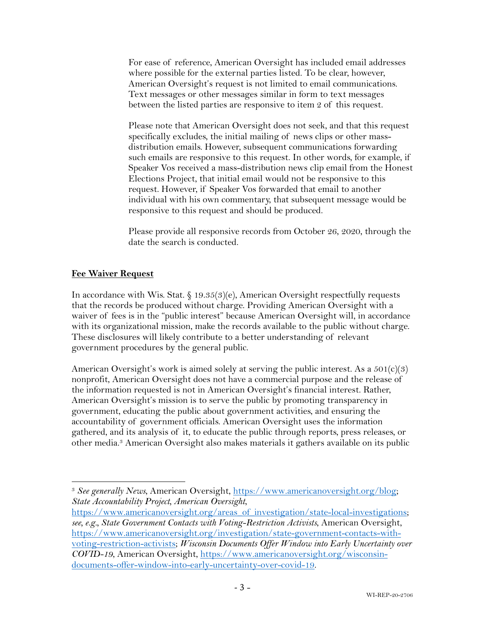For ease of reference, American Oversight has included email addresses where possible for the external parties listed. To be clear, however, American Oversight's request is not limited to email communications. Text messages or other messages similar in form to text messages between the listed parties are responsive to item 2 of this request.

Please note that American Oversight does not seek, and that this request specifically excludes, the initial mailing of news clips or other massdistribution emails. However, subsequent communications forwarding such emails are responsive to this request. In other words, for example, if Speaker Vos received a mass-distribution news clip email from the Honest Elections Project, that initial email would not be responsive to this request. However, if Speaker Vos forwarded that email to another individual with his own commentary, that subsequent message would be responsive to this request and should be produced.

Please provide all responsive records from October 26, 2020, through the date the search is conducted.

#### **Fee Waiver Request**

In accordance with Wis. Stat. § 19.35(3)(e), American Oversight respectfully requests that the records be produced without charge. Providing American Oversight with a waiver of fees is in the "public interest" because American Oversight will, in accordance with its organizational mission, make the records available to the public without charge. These disclosures will likely contribute to a better understanding of relevant government procedures by the general public.

American Oversight's work is aimed solely at serving the public interest. As a  $501(c)(3)$ nonprofit, American Oversight does not have a commercial purpose and the release of the information requested is not in American Oversight's financial interest. Rather, American Oversight's mission is to serve the public by promoting transparency in government, educating the public about government activities, and ensuring the accountability of government officials. American Oversight uses the information gathered, and its analysis of it, to educate the public through reports, press releases, or other media.3 American Oversight also makes materials it gathers available on its public

<sup>3</sup> *See generally News*, American Oversight, https://www.americanoversight.org/blog; *State Accountability Project, American Oversight*,

https://www.americanoversight.org/areas of investigation/state-local-investigations; *see, e.g., State Government Contacts with Voting-Restriction Activists*, American Oversight, https://www.americanoversight.org/investigation/state-government-contacts-withvoting-restriction-activists; *Wisconsin Documents Offer Window into Early Uncertainty over COVID-19*, American Oversight, https://www.americanoversight.org/wisconsindocuments-offer-window-into-early-uncertainty-over-covid-19.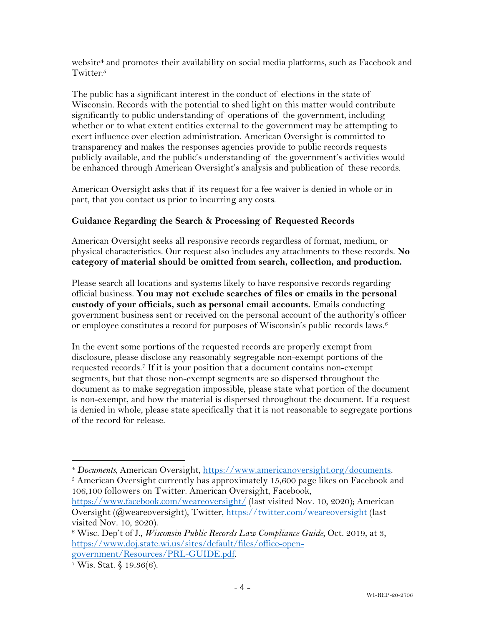website<sup>4</sup> and promotes their availability on social media platforms, such as Facebook and Twitter.<sup>5</sup>

The public has a significant interest in the conduct of elections in the state of Wisconsin. Records with the potential to shed light on this matter would contribute significantly to public understanding of operations of the government, including whether or to what extent entities external to the government may be attempting to exert influence over election administration. American Oversight is committed to transparency and makes the responses agencies provide to public records requests publicly available, and the public's understanding of the government's activities would be enhanced through American Oversight's analysis and publication of these records.

American Oversight asks that if its request for a fee waiver is denied in whole or in part, that you contact us prior to incurring any costs.

#### **Guidance Regarding the Search & Processing of Requested Records**

American Oversight seeks all responsive records regardless of format, medium, or physical characteristics. Our request also includes any attachments to these records. **No category of material should be omitted from search, collection, and production.**

Please search all locations and systems likely to have responsive records regarding official business. **You may not exclude searches of files or emails in the personal custody of your officials, such as personal email accounts.** Emails conducting government business sent or received on the personal account of the authority's officer or employee constitutes a record for purposes of Wisconsin's public records laws.6

In the event some portions of the requested records are properly exempt from disclosure, please disclose any reasonably segregable non-exempt portions of the requested records.7 If it is your position that a document contains non-exempt segments, but that those non-exempt segments are so dispersed throughout the document as to make segregation impossible, please state what portion of the document is non-exempt, and how the material is dispersed throughout the document. If a request is denied in whole, please state specifically that it is not reasonable to segregate portions of the record for release.

<sup>4</sup> *Documents,* American Oversight, https://www.americanoversight.org/documents.

 $5$  American Oversight currently has approximately 15,600 page likes on Facebook and 106,100 followers on Twitter. American Oversight, Facebook,

https://www.facebook.com/weareoversight/ (last visited Nov. 10, 2020); American Oversight (@weareoversight), Twitter, https://twitter.com/weareoversight (last visited Nov. 10, 2020).

<sup>6</sup> Wisc. Dep't of J., *Wisconsin Public Records Law Compliance Guide*, Oct. 2019, at 3, https://www.doj.state.wi.us/sites/default/files/office-opengovernment/Resources/PRL-GUIDE.pdf.<br>7 Wis. Stat. § 19.36(6).